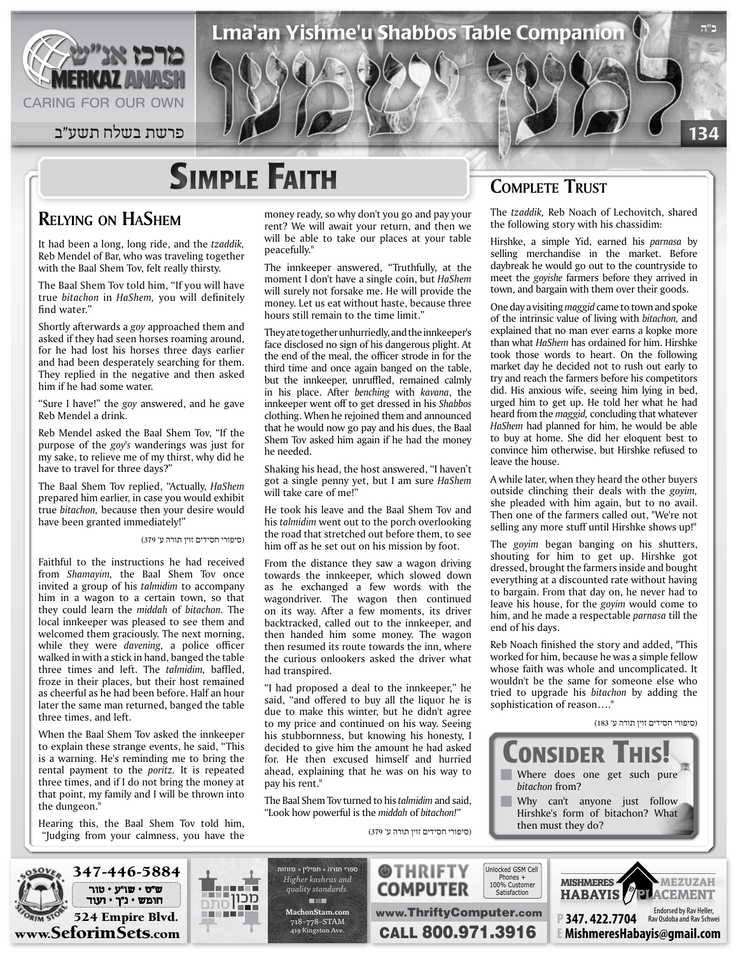

134 פרשת בשלח תשע״ב  $\blacksquare$  פרשת בשלח תשע״ב  $\blacksquare$ 

# **SIMPLE FAITH**

### **RELYING ON HASHEM**

It had been a long, long ride, and the tzaddik, Reb Mendel of Bar, who was traveling together with the Baal Shem Tov, felt really thirsty.

The Baal Shem Tov told him, "If you will have true *bitachon* in *HaShem*, you will definitely find water"

Shortly afterwards a *goy* approached them and asked if they had seen horses roaming around, for he had lost his horses three days earlier and had been desperately searching for them. They replied in the negative and then asked him if he had some water.

"Sure I have!" the goy answered, and he gave Reb Mendel a drink.

Reb Mendel asked the Baal Shem Tov, "If the purpose of the goy's wanderings was just for my sake, to relieve me of my thirst, why did he have to travel for three days?"

The Baal Shem Tov replied, "Actually, *HaShem* prepared him earlier, in case you would exhibit true bitachon, because then your desire would have been granted immediately!"

(סיפורי חסידים זוין תורה ע' 379)

Faithful to the instructions he had received from Shamayim, the Baal Shem Tov once invited a group of his *talmidim* to accompany him in a wagon to a certain town, so that they could learn the *middah* of *bitachon*. The local innkeeper was pleased to see them and welcomed them graciously. The next morning, while they were *davening*, a police officer walked in with a stick in hand, banged the table three times and left. The talmidim, baffled, froze in their places, but their host remained as cheerful as he had been before. Half an hour later the same man returned, banged the table three times, and left.

When the Baal Shem Tov asked the innkeeper to explain these strange events, he said, "This is a warning. He's reminding me to bring the rental payment to the *poritz*. It is repeated three times, and if I do not bring the money at that point, my family and I will be thrown into the dungeon."

Hearing this, the Baal Shem Tov told him, "Judging from your calmness, you have the money ready, so why don't you go and pay your rent? We will await your return, and then we will be able to take our places at your table peacefully."

Lma'an Yishme'u Shabbos Table Companion

The innkeeper answered, "Truthfully, at the moment I don't have a single coin, but HaShem will surely not forsake me. He will provide the money. Let us eat without haste, because three hours still remain to the time limit."

They ate together unhurriedly, and the innkeeper's face disclosed no sign of his dangerous plight. At the end of the meal, the officer strode in for the third time and once again banged on the table, but the innkeeper, unruffled, remained calmly in his place. After *benching* with *kavana*, the innkeeper went off to get dressed in his Shabbos clothing. When he rejoined them and announced that he would now go pay and his dues, the Baal Shem Tov asked him again if he had the money he needed.

Shaking his head, the host answered, "I haven't got a single penny yet, but I am sure *HaShem* will take care of me!"

He took his leave and the Baal Shem Tov and his talmidim went out to the porch overlooking the road that stretched out before them, to see him off as he set out on his mission by foot.

From the distance they saw a wagon driving towards the innkeeper, which slowed down as he exchanged a few words with the wagondriver. The wagon then continued on its way. After a few moments, its driver backtracked, called out to the innkeeper, and then handed him some money. The wagon then resumed its route towards the inn, where the curious onlookers asked the driver what had transpired.

"I had proposed a deal to the innkeeper," he said, "and offered to buy all the liquor he is due to make this winter, but he didn't agree to my price and continued on his way. Seeing his stubbornness, but knowing his honesty, I decided to give him the amount he had asked for. He then excused himself and hurried ahead, explaining that he was on his way to pay his rent."

The Baal Shem Tov turned to his *talmidim* and said, "Look how powerful is the *middah* of *bitachon!"* 

(סיפורי חסידים זוין תורה ע' 379)

### **COMPLETE TRUST**

The tzaddik, Reb Noach of Lechovitch, shared the following story with his chassidim:

**ב"ה**

Hirshke, a simple Yid, earned his *parnasa* by selling merchandise in the market. Before daybreak he would go out to the countryside to meet the *goyishe* farmers before they arrived in town, and bargain with them over their goods.

One day a visiting *maggid* came to town and spoke of the intrinsic value of living with *bitachon*, and explained that no man ever earns a kopke more than what *HaShem* has ordained for him. Hirshke took those words to heart. On the following market day he decided not to rush out early to try and reach the farmers before his competitors did. His anxious wife, seeing him lying in bed, urged him to get up. He told her what he had heard from the *maggid*, concluding that whatever HaShem had planned for him, he would be able to buy at home. She did her eloquent best to convince him otherwise, but Hirshke refused to leave the house.

A while later, when they heard the other buyers outside clinching their deals with the goyim, she pleaded with him again, but to no avail. Then one of the farmers called out, "We're not selling any more stuff until Hirshke shows up!"

The *goyim* began banging on his shutters, shouting for him to get up. Hirshke got dressed, brought the farmers inside and bought everything at a discounted rate without having to bargain. From that day on, he never had to leave his house, for the *goyim* would come to him, and he made a respectable *parnasa* till the end of his days.

Reb Noach finished the story and added, "This worked for him, because he was a simple fellow whose faith was whole and uncomplicated. It wouldn't be the same for someone else who tried to upgrade his *bitachon* by adding the sophistication of reason...."

#### )סיפורי חסידים זוין תורה ע' 183(